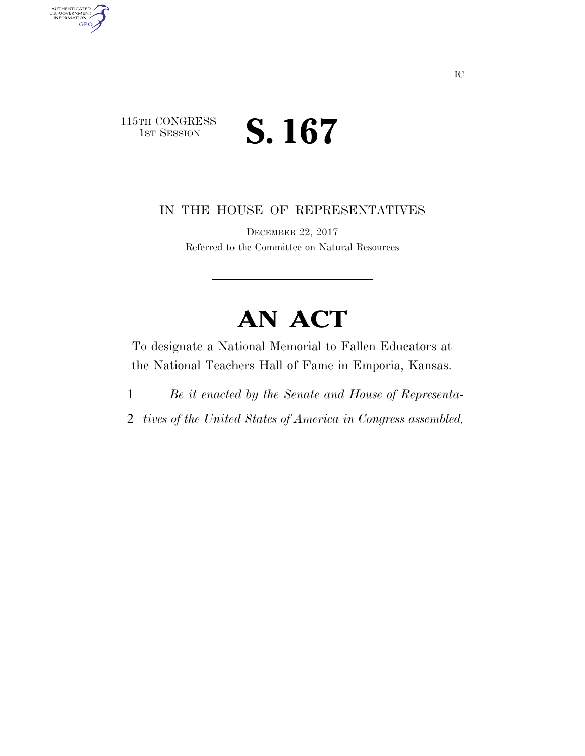## 115TH CONGRESS<br>1st Session S. 167

AUTHENTICATED<br>U.S. GOVERNMENT<br>INFORMATION **GPO** 

IN THE HOUSE OF REPRESENTATIVES

DECEMBER 22, 2017 Referred to the Committee on Natural Resources

## **AN ACT**

To designate a National Memorial to Fallen Educators at the National Teachers Hall of Fame in Emporia, Kansas.

- 1 *Be it enacted by the Senate and House of Representa-*
- 2 *tives of the United States of America in Congress assembled,*